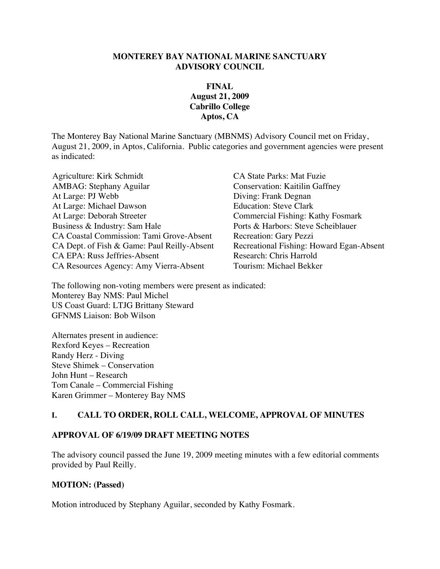#### **MONTEREY BAY NATIONAL MARINE SANCTUARY ADVISORY COUNCIL**

### **FINAL August 21, 2009 Cabrillo College Aptos, CA**

The Monterey Bay National Marine Sanctuary (MBNMS) Advisory Council met on Friday, August 21, 2009, in Aptos, California. Public categories and government agencies were present as indicated:

Agriculture: Kirk Schmidt CA State Parks: Mat Fuzie AMBAG: Stephany Aguilar Conservation: Kaitilin Gaffney At Large: PJ Webb Diving: Frank Degnan At Large: Michael Dawson Education: Steve Clark At Large: Deborah Streeter Commercial Fishing: Kathy Fosmark Business & Industry: Sam Hale Ports & Harbors: Steve Scheiblauer CA Coastal Commission: Tami Grove-Absent Recreation: Gary Pezzi CA Dept. of Fish & Game: Paul Reilly-Absent Recreational Fishing: Howard Egan-Absent CA EPA: Russ Jeffries-Absent Research: Chris Harrold<br>CA Resources Agency: Amy Vierra-Absent Tourism: Michael Bekker CA Resources Agency: Amy Vierra-Absent

The following non-voting members were present as indicated: Monterey Bay NMS: Paul Michel US Coast Guard: LTJG Brittany Steward GFNMS Liaison: Bob Wilson

Alternates present in audience: Rexford Keyes – Recreation Randy Herz - Diving Steve Shimek – Conservation John Hunt – Research Tom Canale – Commercial Fishing Karen Grimmer – Monterey Bay NMS

### **I. CALL TO ORDER, ROLL CALL, WELCOME, APPROVAL OF MINUTES**

### **APPROVAL OF 6/19/09 DRAFT MEETING NOTES**

The advisory council passed the June 19, 2009 meeting minutes with a few editorial comments provided by Paul Reilly.

#### **MOTION: (Passed)**

Motion introduced by Stephany Aguilar, seconded by Kathy Fosmark.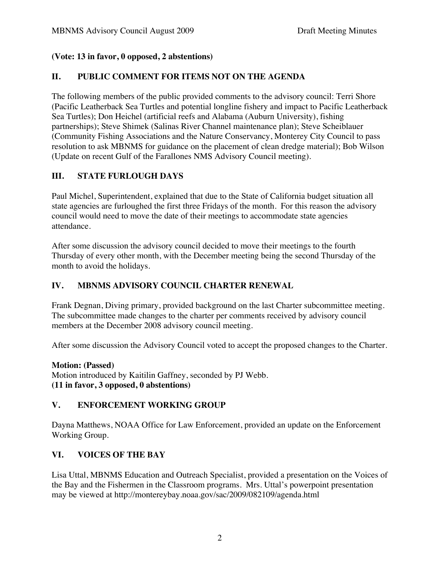# **(Vote: 13 in favor, 0 opposed, 2 abstentions)**

# **II. PUBLIC COMMENT FOR ITEMS NOT ON THE AGENDA**

The following members of the public provided comments to the advisory council: Terri Shore (Pacific Leatherback Sea Turtles and potential longline fishery and impact to Pacific Leatherback Sea Turtles); Don Heichel (artificial reefs and Alabama (Auburn University), fishing partnerships); Steve Shimek (Salinas River Channel maintenance plan); Steve Scheiblauer (Community Fishing Associations and the Nature Conservancy, Monterey City Council to pass resolution to ask MBNMS for guidance on the placement of clean dredge material); Bob Wilson (Update on recent Gulf of the Farallones NMS Advisory Council meeting).

# **III. STATE FURLOUGH DAYS**

Paul Michel, Superintendent, explained that due to the State of California budget situation all state agencies are furloughed the first three Fridays of the month. For this reason the advisory council would need to move the date of their meetings to accommodate state agencies attendance.

After some discussion the advisory council decided to move their meetings to the fourth Thursday of every other month, with the December meeting being the second Thursday of the month to avoid the holidays.

### **IV. MBNMS ADVISORY COUNCIL CHARTER RENEWAL**

Frank Degnan, Diving primary, provided background on the last Charter subcommittee meeting. The subcommittee made changes to the charter per comments received by advisory council members at the December 2008 advisory council meeting.

After some discussion the Advisory Council voted to accept the proposed changes to the Charter.

**Motion: (Passed)** 

Motion introduced by Kaitilin Gaffney, seconded by PJ Webb. **(11 in favor, 3 opposed, 0 abstentions)**

### **V. ENFORCEMENT WORKING GROUP**

Dayna Matthews, NOAA Office for Law Enforcement, provided an update on the Enforcement Working Group.

### **VI. VOICES OF THE BAY**

Lisa Uttal, MBNMS Education and Outreach Specialist, provided a presentation on the Voices of the Bay and the Fishermen in the Classroom programs. Mrs. Uttal's powerpoint presentation may be viewed at http://montereybay.noaa.gov/sac/2009/082109/agenda.html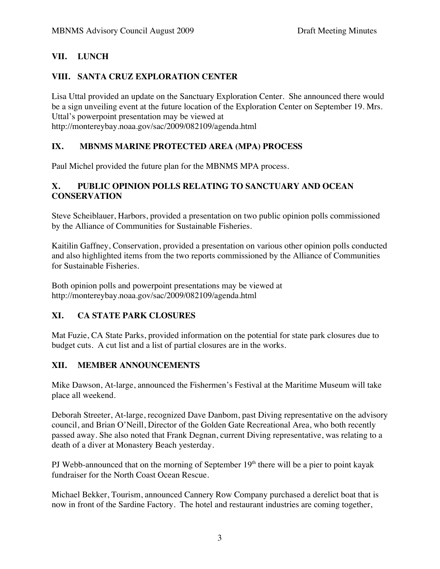# **VII. LUNCH**

# **VIII. SANTA CRUZ EXPLORATION CENTER**

Lisa Uttal provided an update on the Sanctuary Exploration Center. She announced there would be a sign unveiling event at the future location of the Exploration Center on September 19. Mrs. Uttal's powerpoint presentation may be viewed at http://montereybay.noaa.gov/sac/2009/082109/agenda.html

# **IX. MBNMS MARINE PROTECTED AREA (MPA) PROCESS**

Paul Michel provided the future plan for the MBNMS MPA process.

### **X. PUBLIC OPINION POLLS RELATING TO SANCTUARY AND OCEAN CONSERVATION**

Steve Scheiblauer, Harbors, provided a presentation on two public opinion polls commissioned by the Alliance of Communities for Sustainable Fisheries.

Kaitilin Gaffney, Conservation, provided a presentation on various other opinion polls conducted and also highlighted items from the two reports commissioned by the Alliance of Communities for Sustainable Fisheries.

Both opinion polls and powerpoint presentations may be viewed at http://montereybay.noaa.gov/sac/2009/082109/agenda.html

# **XI. CA STATE PARK CLOSURES**

Mat Fuzie, CA State Parks, provided information on the potential for state park closures due to budget cuts. A cut list and a list of partial closures are in the works.

# **XII. MEMBER ANNOUNCEMENTS**

Mike Dawson, At-large, announced the Fishermen's Festival at the Maritime Museum will take place all weekend.

Deborah Streeter, At-large, recognized Dave Danbom, past Diving representative on the advisory council, and Brian O'Neill, Director of the Golden Gate Recreational Area, who both recently passed away. She also noted that Frank Degnan, current Diving representative, was relating to a death of a diver at Monastery Beach yesterday.

PJ Webb-announced that on the morning of September  $19<sup>th</sup>$  there will be a pier to point kayak fundraiser for the North Coast Ocean Rescue.

Michael Bekker, Tourism, announced Cannery Row Company purchased a derelict boat that is now in front of the Sardine Factory. The hotel and restaurant industries are coming together,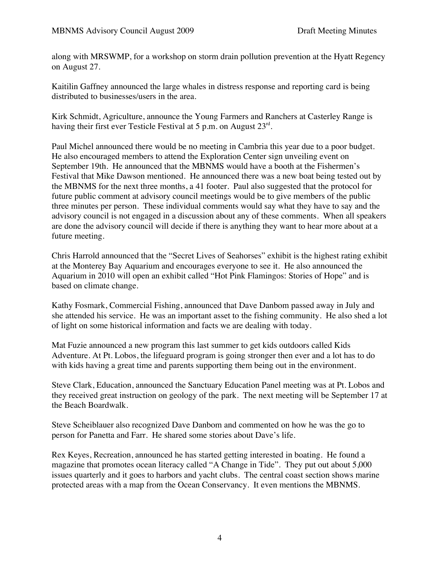along with MRSWMP, for a workshop on storm drain pollution prevention at the Hyatt Regency on August 27.

Kaitilin Gaffney announced the large whales in distress response and reporting card is being distributed to businesses/users in the area.

Kirk Schmidt, Agriculture, announce the Young Farmers and Ranchers at Casterley Range is having their first ever Testicle Festival at 5 p.m. on August 23<sup>rd</sup>.

Paul Michel announced there would be no meeting in Cambria this year due to a poor budget. He also encouraged members to attend the Exploration Center sign unveiling event on September 19th. He announced that the MBNMS would have a booth at the Fishermen's Festival that Mike Dawson mentioned. He announced there was a new boat being tested out by the MBNMS for the next three months, a 41 footer. Paul also suggested that the protocol for future public comment at advisory council meetings would be to give members of the public three minutes per person. These individual comments would say what they have to say and the advisory council is not engaged in a discussion about any of these comments. When all speakers are done the advisory council will decide if there is anything they want to hear more about at a future meeting.

Chris Harrold announced that the "Secret Lives of Seahorses" exhibit is the highest rating exhibit at the Monterey Bay Aquarium and encourages everyone to see it. He also announced the Aquarium in 2010 will open an exhibit called "Hot Pink Flamingos: Stories of Hope" and is based on climate change.

Kathy Fosmark, Commercial Fishing, announced that Dave Danbom passed away in July and she attended his service. He was an important asset to the fishing community. He also shed a lot of light on some historical information and facts we are dealing with today.

Mat Fuzie announced a new program this last summer to get kids outdoors called Kids Adventure. At Pt. Lobos, the lifeguard program is going stronger then ever and a lot has to do with kids having a great time and parents supporting them being out in the environment.

Steve Clark, Education, announced the Sanctuary Education Panel meeting was at Pt. Lobos and they received great instruction on geology of the park. The next meeting will be September 17 at the Beach Boardwalk.

Steve Scheiblauer also recognized Dave Danbom and commented on how he was the go to person for Panetta and Farr. He shared some stories about Dave's life.

Rex Keyes, Recreation, announced he has started getting interested in boating. He found a magazine that promotes ocean literacy called "A Change in Tide". They put out about 5,000 issues quarterly and it goes to harbors and yacht clubs. The central coast section shows marine protected areas with a map from the Ocean Conservancy. It even mentions the MBNMS.